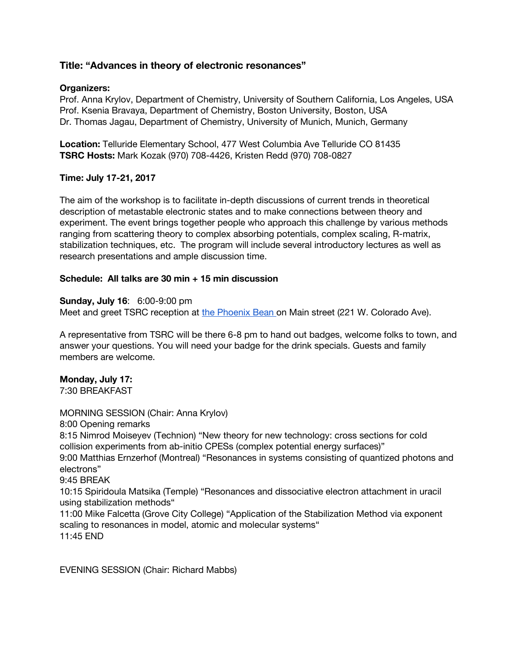# **Title: "Advances in theory of electronic resonances"**

#### **Organizers:**

Prof. Anna Krylov, Department of Chemistry, University of Southern California, Los Angeles, USA Prof. Ksenia Bravaya, Department of Chemistry, Boston University, Boston, USA Dr. Thomas Jagau, Department of Chemistry, University of Munich, Munich, Germany

**Location:** Telluride Elementary School, 477 West Columbia Ave Telluride CO 81435 **TSRC Hosts:** Mark Kozak (970) 708-4426, Kristen Redd (970) 708-0827

#### **Time: July 17-21, 2017**

The aim of the workshop is to facilitate in-depth discussions of current trends in theoretical description of metastable electronic states and to make connections between theory and experiment. The event brings together people who approach this challenge by various methods ranging from scattering theory to complex absorbing potentials, complex scaling, R-matrix, stabilization techniques, etc. The program will include several introductory lectures as well as research presentations and ample discussion time.

#### **Schedule: All talks are 30 min + 15 min discussion**

#### **Sunday, July 16**: 6:00-9:00 pm

Meet and greet TSRC reception at [t](https://www.telluride.com/phoenix-bean)he [Phoenix](https://www.telluride.com/phoenix-bean) Bean on Main street (221 W. Colorado Ave).

A representative from TSRC will be there 6-8 pm to hand out badges, welcome folks to town, and answer your questions. You will need your badge for the drink specials. Guests and family members are welcome.

# **Monday, July 17:**

7:30 BREAKFAST

MORNING SESSION (Chair: Anna Krylov) 8:00 Opening remarks 8:15 Nimrod Moiseyev (Technion) "New theory for new technology: cross sections for cold collision experiments from ab-initio CPESs (complex potential energy surfaces)" 9:00 Matthias Ernzerhof (Montreal) "Resonances in systems consisting of quantized photons and electrons" 9:45 BREAK 10:15 Spiridoula Matsika (Temple) "Resonances and dissociative electron attachment in uracil using stabilization methods" 11:00 Mike Falcetta (Grove City College) "Application of the Stabilization Method via exponent scaling to resonances in model, atomic and molecular systems" 11:45 END

EVENING SESSION (Chair: Richard Mabbs)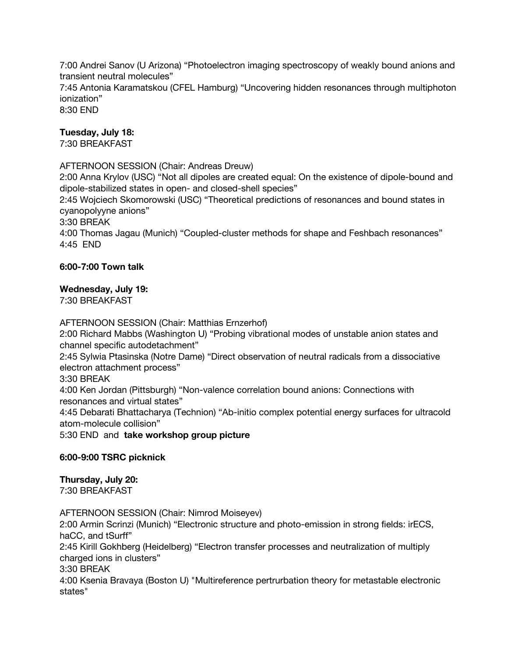7:00 Andrei Sanov (U Arizona) "Photoelectron imaging spectroscopy of weakly bound anions and transient neutral molecules" 7:45 Antonia Karamatskou (CFEL Hamburg) "Uncovering hidden resonances through multiphoton ionization" 8:30 END

## **Tuesday, July 18:**

7:30 BREAKFAST

AFTERNOON SESSION (Chair: Andreas Dreuw)

2:00 Anna Krylov (USC) "Not all dipoles are created equal: On the existence of dipole-bound and dipole-stabilized states in open- and closed-shell species"

2:45 Wojciech Skomorowski (USC) "Theoretical predictions of resonances and bound states in cyanopolyyne anions"

3:30 BREAK

4:00 Thomas Jagau (Munich) "Coupled-cluster methods for shape and Feshbach resonances" 4:45 END

## **6:00-7:00 Town talk**

## **Wednesday, July 19:**

7:30 BREAKFAST

AFTERNOON SESSION (Chair: Matthias Ernzerhof)

2:00 Richard Mabbs (Washington U) "Probing vibrational modes of unstable anion states and channel specific autodetachment"

2:45 Sylwia Ptasinska (Notre Dame) "Direct observation of neutral radicals from a dissociative electron attachment process"

3:30 BREAK

4:00 Ken Jordan (Pittsburgh) "Non-valence correlation bound anions: Connections with resonances and virtual states"

4:45 Debarati Bhattacharya (Technion) "Ab-initio complex potential energy surfaces for ultracold atom-molecule collision"

5:30 END and **take workshop group picture**

## **6:00-9:00 TSRC picknick**

**Thursday, July 20:** 7:30 BREAKFAST

AFTERNOON SESSION (Chair: Nimrod Moiseyev) 2:00 Armin Scrinzi (Munich) "Electronic structure and photo-emission in strong fields: irECS, haCC, and tSurff" 2:45 Kirill Gokhberg (Heidelberg) "Electron transfer processes and neutralization of multiply charged ions in clusters" 3:30 BREAK 4:00 Ksenia Bravaya (Boston U) "Multireference pertrurbation theory for metastable electronic states"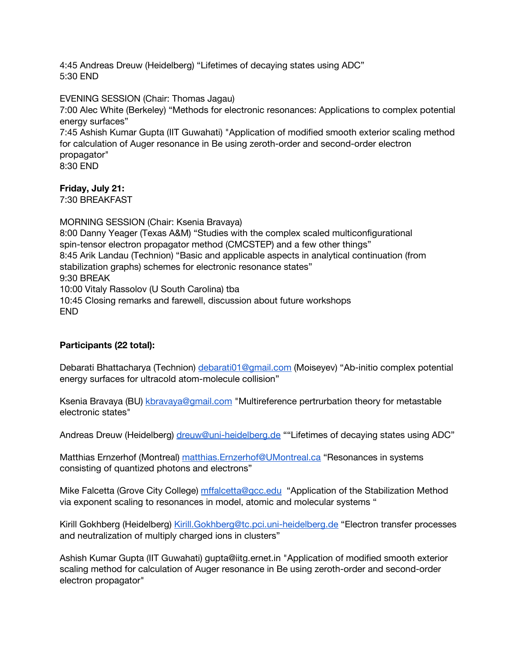4:45 Andreas Dreuw (Heidelberg) "Lifetimes of decaying states using ADC" 5:30 END

EVENING SESSION (Chair: Thomas Jagau)

7:00 Alec White (Berkeley) "Methods for electronic resonances: Applications to complex potential energy surfaces"

7:45 Ashish Kumar Gupta (IIT Guwahati) "Application of modified smooth exterior scaling method for calculation of Auger resonance in Be using zeroth-order and second-order electron propagator"

8:30 END

# **Friday, July 21:**

7:30 BREAKFAST

MORNING SESSION (Chair: Ksenia Bravaya) 8:00 Danny Yeager (Texas A&M) "Studies with the complex scaled multiconfigurational spin-tensor electron propagator method (CMCSTEP) and a few other things" 8:45 Arik Landau (Technion) "Basic and applicable aspects in analytical continuation (from stabilization graphs) schemes for electronic resonance states" 9:30 BREAK 10:00 Vitaly Rassolov (U South Carolina) tba 10:45 Closing remarks and farewell, discussion about future workshops END

# **Participants (22 total):**

Debarati Bhattacharya (Technion) [debarati01@gmail.com](mailto:debarati01@gmail.com) (Moiseyev) "Ab-initio complex potential energy surfaces for ultracold atom-molecule collision"

Ksenia Bravaya (BU) [kbravaya@gmail.com](mailto:kbravaya@gmail.com) "Multireference pertrurbation theory for metastable electronic states"

Andreas Dreuw (Heidelberg) [dreuw@uni-heidelberg.de](mailto:dreuw@uni-heidelberg.de) ""Lifetimes of decaying states using ADC"

Matthias Ernzerhof (Montreal) [matthias.Ernzerhof@UMontreal.ca](mailto:matthias.Ernzerhof@UMontreal.ca) "Resonances in systems consisting of quantized photons and electrons"

Mike Falcetta (Grove City College) [mffalcetta@gcc.edu](mailto:mffalcetta@gcc.edu) "Application of the Stabilization Method via exponent scaling to resonances in model, atomic and molecular systems "

Kirill Gokhberg (Heidelberg) [Kirill.Gokhberg@tc.pci.uni-heidelberg.de](mailto:Kirill.Gokhberg@tc.pci.uni-heidelberg.de) "Electron transfer processes and neutralization of multiply charged ions in clusters"

Ashish Kumar Gupta (IIT Guwahati) [gupta@iitg.ernet.in](mailto:gupta@iitg.ernet.in) "Application of modified smooth exterior scaling method for calculation of Auger resonance in Be using zeroth-order and second-order electron propagator"